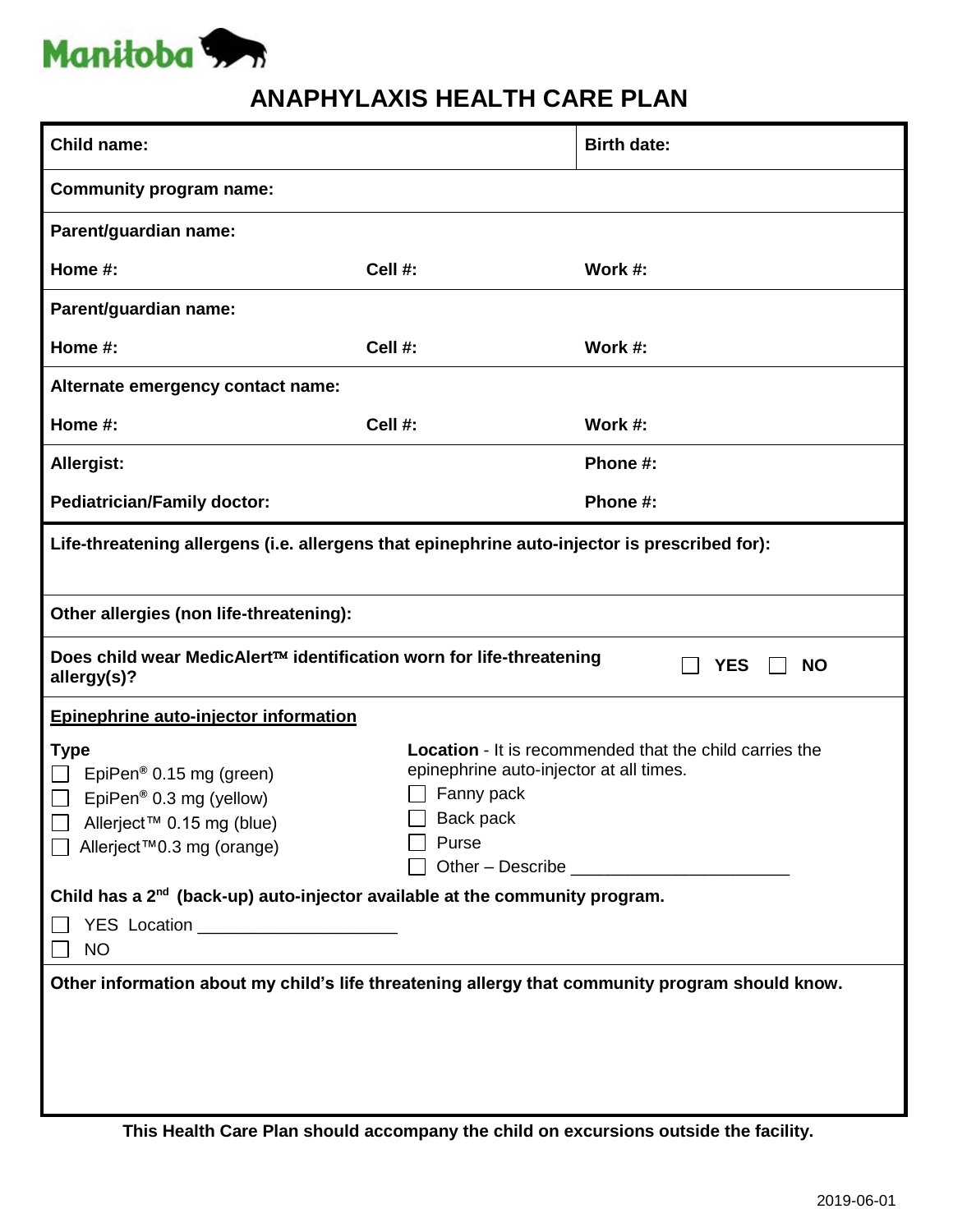

## **ANAPHYLAXIS HEALTH CARE PLAN**

| Child name:                                                                                                                                                             |                                                                                                                                                      | <b>Birth date:</b> |  |  |
|-------------------------------------------------------------------------------------------------------------------------------------------------------------------------|------------------------------------------------------------------------------------------------------------------------------------------------------|--------------------|--|--|
| <b>Community program name:</b>                                                                                                                                          |                                                                                                                                                      |                    |  |  |
| Parent/guardian name:                                                                                                                                                   |                                                                                                                                                      |                    |  |  |
| Home #:                                                                                                                                                                 | Cell #:                                                                                                                                              | Work #:            |  |  |
| Parent/guardian name:                                                                                                                                                   |                                                                                                                                                      |                    |  |  |
| Home #:                                                                                                                                                                 | Cell #:                                                                                                                                              | Work #:            |  |  |
| Alternate emergency contact name:                                                                                                                                       |                                                                                                                                                      |                    |  |  |
| Home #:                                                                                                                                                                 | Cell #:                                                                                                                                              | Work #:            |  |  |
| Allergist:                                                                                                                                                              |                                                                                                                                                      | Phone #:           |  |  |
| <b>Pediatrician/Family doctor:</b>                                                                                                                                      |                                                                                                                                                      | Phone #:           |  |  |
| Life-threatening allergens (i.e. allergens that epinephrine auto-injector is prescribed for):                                                                           |                                                                                                                                                      |                    |  |  |
| Other allergies (non life-threatening):                                                                                                                                 |                                                                                                                                                      |                    |  |  |
| Does child wear MedicAlert™ identification worn for life-threatening<br><b>YES</b><br><b>NO</b><br>allergy(s)?                                                          |                                                                                                                                                      |                    |  |  |
| Epinephrine auto-injector information                                                                                                                                   |                                                                                                                                                      |                    |  |  |
| <b>Type</b><br>EpiPen <sup>®</sup> 0.15 mg (green)<br>EpiPen <sup>®</sup> 0.3 mg (yellow)<br>$\Box$<br>$\Box$<br>Allerject™ 0.15 mg (blue)<br>Allerject™0.3 mg (orange) | <b>Location</b> - It is recommended that the child carries the<br>epinephrine auto-injector at all times.<br>Fanny pack<br>$\Box$ Back pack<br>Purse |                    |  |  |
| Child has a 2 <sup>nd</sup> (back-up) auto-injector available at the community program.                                                                                 |                                                                                                                                                      |                    |  |  |
| YES Location ____________________<br><b>NO</b>                                                                                                                          |                                                                                                                                                      |                    |  |  |
| Other information about my child's life threatening allergy that community program should know.                                                                         |                                                                                                                                                      |                    |  |  |
|                                                                                                                                                                         |                                                                                                                                                      |                    |  |  |
|                                                                                                                                                                         |                                                                                                                                                      |                    |  |  |
|                                                                                                                                                                         |                                                                                                                                                      |                    |  |  |

**This Health Care Plan should accompany the child on excursions outside the facility.**